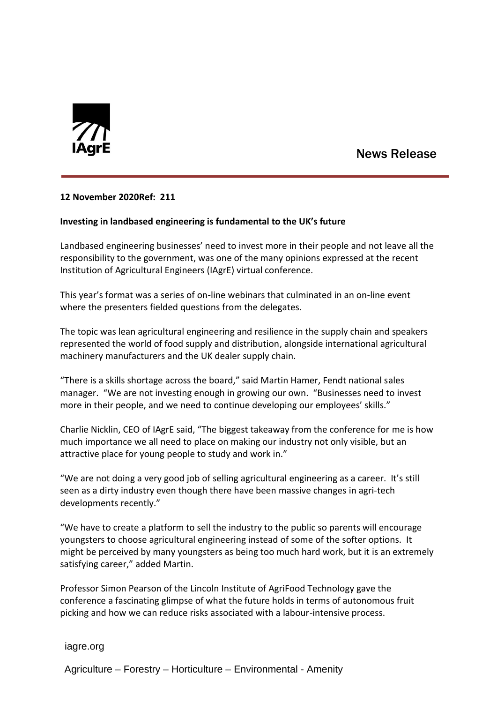

# News Release

## **12 November 2020Ref: 211**

## **Investing in landbased engineering is fundamental to the UK's future**

Landbased engineering businesses' need to invest more in their people and not leave all the responsibility to the government, was one of the many opinions expressed at the recent Institution of Agricultural Engineers (IAgrE) virtual conference.

This year's format was a series of on-line webinars that culminated in an on-line event where the presenters fielded questions from the delegates.

The topic was lean agricultural engineering and resilience in the supply chain and speakers represented the world of food supply and distribution, alongside international agricultural machinery manufacturers and the UK dealer supply chain.

"There is a skills shortage across the board," said Martin Hamer, Fendt national sales manager. "We are not investing enough in growing our own. "Businesses need to invest more in their people, and we need to continue developing our employees' skills."

Charlie Nicklin, CEO of IAgrE said, "The biggest takeaway from the conference for me is how much importance we all need to place on making our industry not only visible, but an attractive place for young people to study and work in."

"We are not doing a very good job of selling agricultural engineering as a career. It's still seen as a dirty industry even though there have been massive changes in agri-tech developments recently."

"We have to create a platform to sell the industry to the public so parents will encourage youngsters to choose agricultural engineering instead of some of the softer options. It might be perceived by many youngsters as being too much hard work, but it is an extremely satisfying career," added Martin.

Professor Simon Pearson of the Lincoln Institute of AgriFood Technology gave the conference a fascinating glimpse of what the future holds in terms of autonomous fruit picking and how we can reduce risks associated with a labour-intensive process.

iagre.org

Agriculture – Forestry – Horticulture – Environmental - Amenity